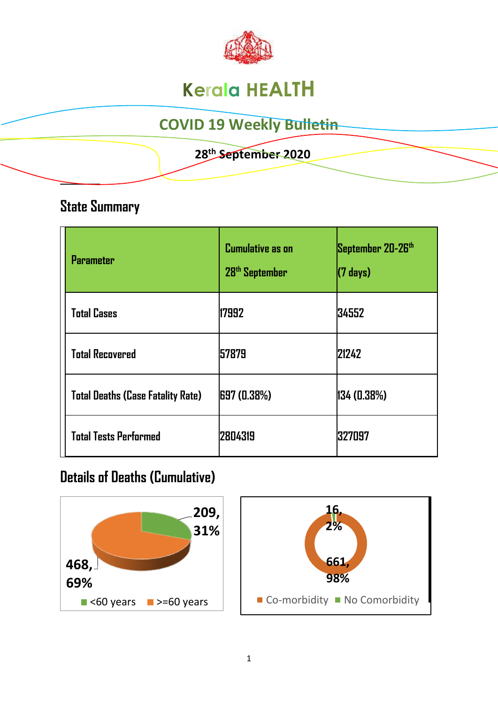

# **Kerala HEALTH**

## **COVID 19 Weekly Bulletin**

#### **28 th September 2020**

#### **State Summary**

**\_\_\_\_\_\_\_\_** 

| <b>Parameter</b>                         | <b>Cumulative as on</b><br>28 <sup>th</sup> September | September 20-26th<br>$(7 \text{ days})$ |
|------------------------------------------|-------------------------------------------------------|-----------------------------------------|
| <b>Total Cases</b>                       | 17992                                                 | 34552                                   |
| <b>Total Recovered</b>                   | 157879                                                | 21242                                   |
| <b>Total Deaths (Case Fatality Rate)</b> | 697 (0.38%)                                           | 134(0.38%)                              |
| <b>Total Tests Performed</b>             | 12804319                                              | 327097                                  |

### **Details of Deaths (Cumulative)**



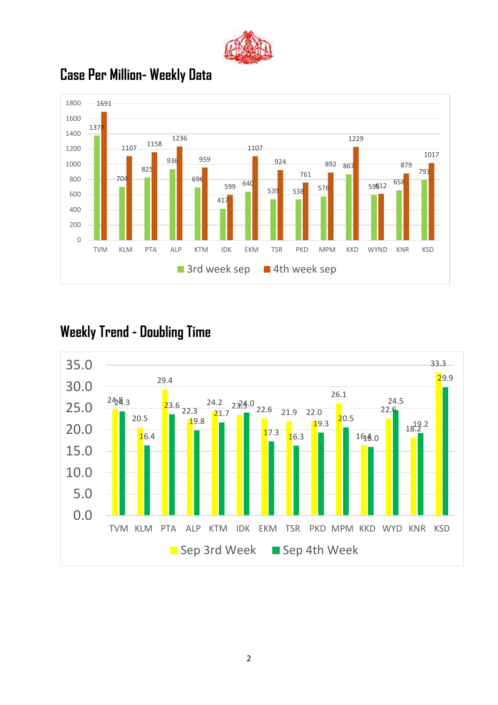



### **Case Per Million- Weekly Data**

### **Weekly Trend - Doubling Time**